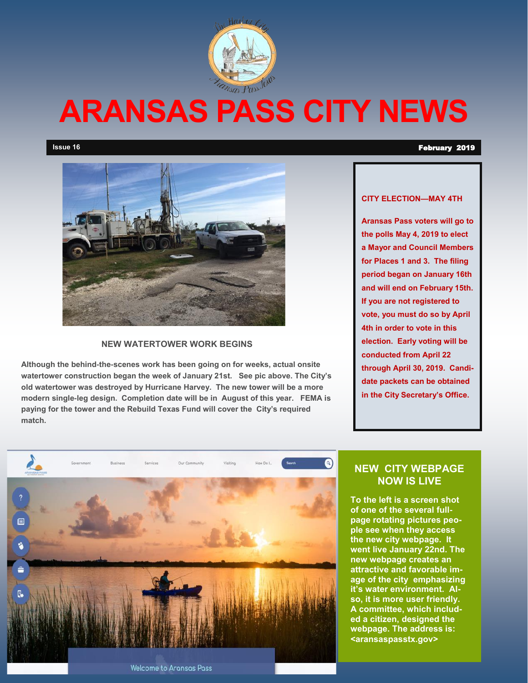

# **ARANSAS PASS CITY NEWS**

**Issue 16** February 2019



#### **NEW WATERTOWER WORK BEGINS**

**Although the behind-the-scenes work has been going on for weeks, actual onsite watertower construction began the week of January 21st. See pic above. The City's old watertower was destroyed by Hurricane Harvey. The new tower will be a more modern single-leg design. Completion date will be in August of this year. FEMA is paying for the tower and the Rebuild Texas Fund will cover the City's required match.** 

#### **CITY ELECTION—MAY 4TH**

**Aransas Pass voters will go to the polls May 4, 2019 to elect a Mayor and Council Members for Places 1 and 3. The filing period began on January 16th and will end on February 15th. If you are not registered to vote, you must do so by April 4th in order to vote in this election. Early voting will be conducted from April 22 through April 30, 2019. Candidate packets can be obtained in the City Secretary's Office.** 



#### **NEW CITY WEBPAGE NOW IS LIVE**

**To the left is a screen shot of one of the several fullpage rotating pictures people see when they access the new city webpage. It went live January 22nd. The new webpage creates an attractive and favorable image of the city emphasizing it's water environment. Also, it is more user friendly. A committee, which included a citizen, designed the webpage. The address is: <aransaspasstx.gov>**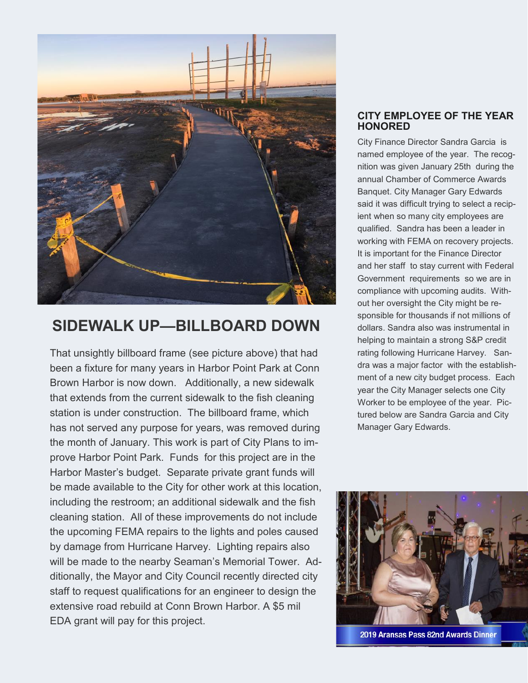

# **SIDEWALK UP—BILLBOARD DOWN**

That unsightly billboard frame (see picture above) that had been a fixture for many years in Harbor Point Park at Conn Brown Harbor is now down. Additionally, a new sidewalk that extends from the current sidewalk to the fish cleaning station is under construction. The billboard frame, which has not served any purpose for years, was removed during the month of January. This work is part of City Plans to improve Harbor Point Park. Funds for this project are in the Harbor Master's budget. Separate private grant funds will be made available to the City for other work at this location, including the restroom; an additional sidewalk and the fish cleaning station. All of these improvements do not include the upcoming FEMA repairs to the lights and poles caused by damage from Hurricane Harvey. Lighting repairs also will be made to the nearby Seaman's Memorial Tower. Additionally, the Mayor and City Council recently directed city staff to request qualifications for an engineer to design the extensive road rebuild at Conn Brown Harbor. A \$5 mil EDA grant will pay for this project.

#### **CITY EMPLOYEE OF THE YEAR HONORED**

City Finance Director Sandra Garcia is named employee of the year. The recognition was given January 25th during the annual Chamber of Commerce Awards Banquet. City Manager Gary Edwards said it was difficult trying to select a recipient when so many city employees are qualified. Sandra has been a leader in working with FEMA on recovery projects. It is important for the Finance Director and her staff to stay current with Federal Government requirements so we are in compliance with upcoming audits. Without her oversight the City might be responsible for thousands if not millions of dollars. Sandra also was instrumental in helping to maintain a strong S&P credit rating following Hurricane Harvey. Sandra was a major factor with the establishment of a new city budget process. Each year the City Manager selects one City Worker to be employee of the year. Pictured below are Sandra Garcia and City Manager Gary Edwards.



2019 Aransas Pass 82nd Awards Dinner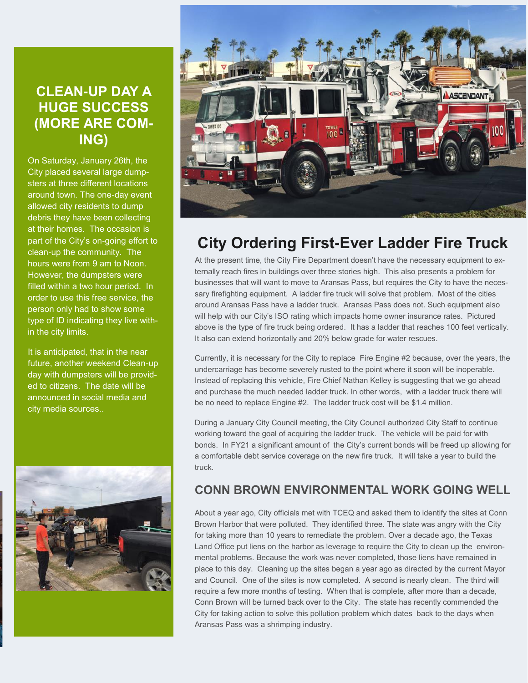# **CLEAN-UP DAY A HUGE SUCCESS (MORE ARE COM-ING)**

On Saturday, January 26th, the City placed several large dumpsters at three different locations around town. The one-day event allowed city residents to dump debris they have been collecting at their homes. The occasion is part of the City's on-going effort to clean-up the community. The hours were from 9 am to Noon. However, the dumpsters were filled within a two hour period. In order to use this free service, the person only had to show some type of ID indicating they live within the city limits.

It is anticipated, that in the near future, another weekend Clean-up day with dumpsters will be provided to citizens. The date will be announced in social media and city media sources..





# **City Ordering First-Ever Ladder Fire Truck**

At the present time, the City Fire Department doesn't have the necessary equipment to externally reach fires in buildings over three stories high. This also presents a problem for businesses that will want to move to Aransas Pass, but requires the City to have the necessary firefighting equipment. A ladder fire truck will solve that problem. Most of the cities around Aransas Pass have a ladder truck. Aransas Pass does not. Such equipment also will help with our City's ISO rating which impacts home owner insurance rates. Pictured above is the type of fire truck being ordered. It has a ladder that reaches 100 feet vertically. It also can extend horizontally and 20% below grade for water rescues.

Currently, it is necessary for the City to replace Fire Engine #2 because, over the years, the undercarriage has become severely rusted to the point where it soon will be inoperable. Instead of replacing this vehicle, Fire Chief Nathan Kelley is suggesting that we go ahead and purchase the much needed ladder truck. In other words, with a ladder truck there will be no need to replace Engine #2. The ladder truck cost will be \$1.4 million.

During a January City Council meeting, the City Council authorized City Staff to continue working toward the goal of acquiring the ladder truck. The vehicle will be paid for with bonds. In FY21 a significant amount of the City's current bonds will be freed up allowing for a comfortable debt service coverage on the new fire truck. It will take a year to build the truck.

## **CONN BROWN ENVIRONMENTAL WORK GOING WELL**

About a year ago, City officials met with TCEQ and asked them to identify the sites at Conn Brown Harbor that were polluted. They identified three. The state was angry with the City for taking more than 10 years to remediate the problem. Over a decade ago, the Texas Land Office put liens on the harbor as leverage to require the City to clean up the environmental problems. Because the work was never completed, those liens have remained in place to this day. Cleaning up the sites began a year ago as directed by the current Mayor and Council. One of the sites is now completed. A second is nearly clean. The third will require a few more months of testing. When that is complete, after more than a decade, Conn Brown will be turned back over to the City. The state has recently commended the City for taking action to solve this pollution problem which dates back to the days when Aransas Pass was a shrimping industry.